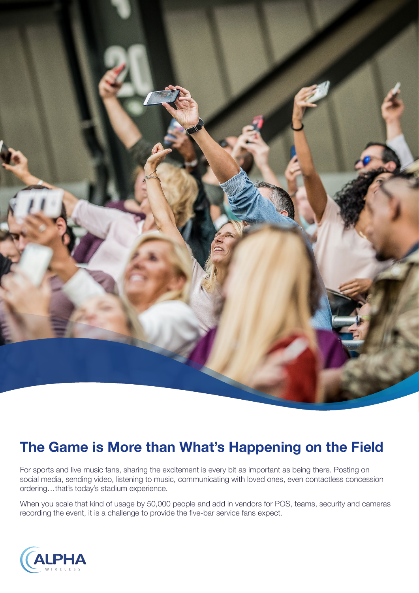

# **The Game is More than What's Happening on the Field**

For sports and live music fans, sharing the excitement is every bit as important as being there. Posting on social media, sending video, listening to music, communicating with loved ones, even contactless concession ordering…that's today's stadium experience.

When you scale that kind of usage by 50,000 people and add in vendors for POS, teams, security and cameras recording the event, it is a challenge to provide the five-bar service fans expect.